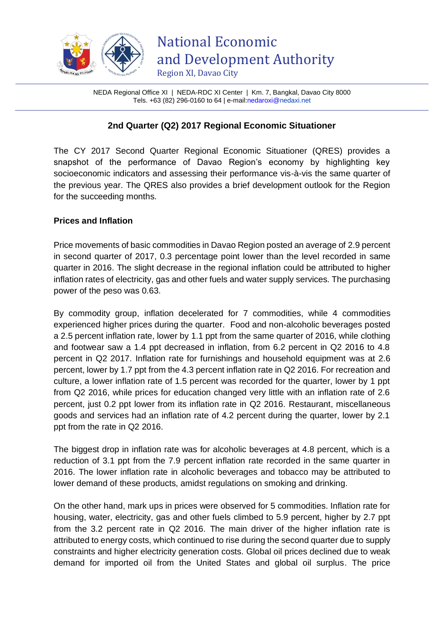

NEDA Regional Office XI | NEDA-RDC XI Center | Km. 7, Bangkal, Davao City 8000 Tels. +63 (82) 296-0160 to 64 | e-mai[l:nedaroxi@n](mailto:nedaroxi@)edaxi.net

# **2nd Quarter (Q2) 2017 Regional Economic Situationer**

The CY 2017 Second Quarter Regional Economic Situationer (QRES) provides a snapshot of the performance of Davao Region's economy by highlighting key socioeconomic indicators and assessing their performance vis-à-vis the same quarter of the previous year. The QRES also provides a brief development outlook for the Region for the succeeding months.

## **Prices and Inflation**

Price movements of basic commodities in Davao Region posted an average of 2.9 percent in second quarter of 2017, 0.3 percentage point lower than the level recorded in same quarter in 2016. The slight decrease in the regional inflation could be attributed to higher inflation rates of electricity, gas and other fuels and water supply services. The purchasing power of the peso was 0.63.

By commodity group, inflation decelerated for 7 commodities, while 4 commodities experienced higher prices during the quarter. Food and non-alcoholic beverages posted a 2.5 percent inflation rate, lower by 1.1 ppt from the same quarter of 2016, while clothing and footwear saw a 1.4 ppt decreased in inflation, from 6.2 percent in Q2 2016 to 4.8 percent in Q2 2017. Inflation rate for furnishings and household equipment was at 2.6 percent, lower by 1.7 ppt from the 4.3 percent inflation rate in Q2 2016. For recreation and culture, a lower inflation rate of 1.5 percent was recorded for the quarter, lower by 1 ppt from Q2 2016, while prices for education changed very little with an inflation rate of 2.6 percent, just 0.2 ppt lower from its inflation rate in Q2 2016. Restaurant, miscellaneous goods and services had an inflation rate of 4.2 percent during the quarter, lower by 2.1 ppt from the rate in Q2 2016.

The biggest drop in inflation rate was for alcoholic beverages at 4.8 percent, which is a reduction of 3.1 ppt from the 7.9 percent inflation rate recorded in the same quarter in 2016. The lower inflation rate in alcoholic beverages and tobacco may be attributed to lower demand of these products, amidst regulations on smoking and drinking.

On the other hand, mark ups in prices were observed for 5 commodities. Inflation rate for housing, water, electricity, gas and other fuels climbed to 5.9 percent, higher by 2.7 ppt from the 3.2 percent rate in Q2 2016. The main driver of the higher inflation rate is attributed to energy costs, which continued to rise during the second quarter due to supply constraints and higher electricity generation costs. Global oil prices declined due to weak demand for imported oil from the United States and global oil surplus. The price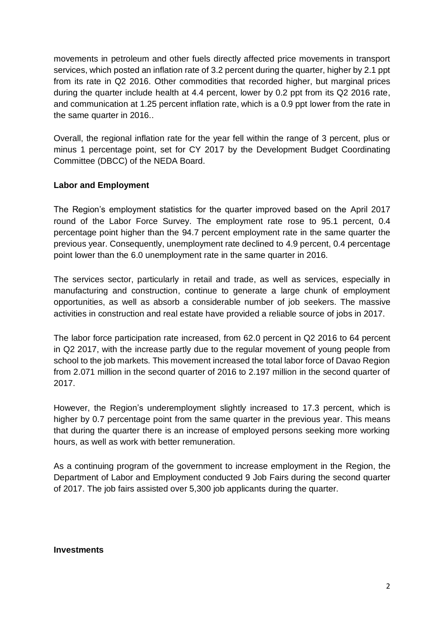movements in petroleum and other fuels directly affected price movements in transport services, which posted an inflation rate of 3.2 percent during the quarter, higher by 2.1 ppt from its rate in Q2 2016. Other commodities that recorded higher, but marginal prices during the quarter include health at 4.4 percent, lower by 0.2 ppt from its Q2 2016 rate, and communication at 1.25 percent inflation rate, which is a 0.9 ppt lower from the rate in the same quarter in 2016..

Overall, the regional inflation rate for the year fell within the range of 3 percent, plus or minus 1 percentage point, set for CY 2017 by the Development Budget Coordinating Committee (DBCC) of the NEDA Board.

## **Labor and Employment**

The Region's employment statistics for the quarter improved based on the April 2017 round of the Labor Force Survey. The employment rate rose to 95.1 percent, 0.4 percentage point higher than the 94.7 percent employment rate in the same quarter the previous year. Consequently, unemployment rate declined to 4.9 percent, 0.4 percentage point lower than the 6.0 unemployment rate in the same quarter in 2016.

The services sector, particularly in retail and trade, as well as services, especially in manufacturing and construction, continue to generate a large chunk of employment opportunities, as well as absorb a considerable number of job seekers. The massive activities in construction and real estate have provided a reliable source of jobs in 2017.

The labor force participation rate increased, from 62.0 percent in Q2 2016 to 64 percent in Q2 2017, with the increase partly due to the regular movement of young people from school to the job markets. This movement increased the total labor force of Davao Region from 2.071 million in the second quarter of 2016 to 2.197 million in the second quarter of 2017.

However, the Region's underemployment slightly increased to 17.3 percent, which is higher by 0.7 percentage point from the same quarter in the previous year. This means that during the quarter there is an increase of employed persons seeking more working hours, as well as work with better remuneration.

As a continuing program of the government to increase employment in the Region, the Department of Labor and Employment conducted 9 Job Fairs during the second quarter of 2017. The job fairs assisted over 5,300 job applicants during the quarter.

#### **Investments**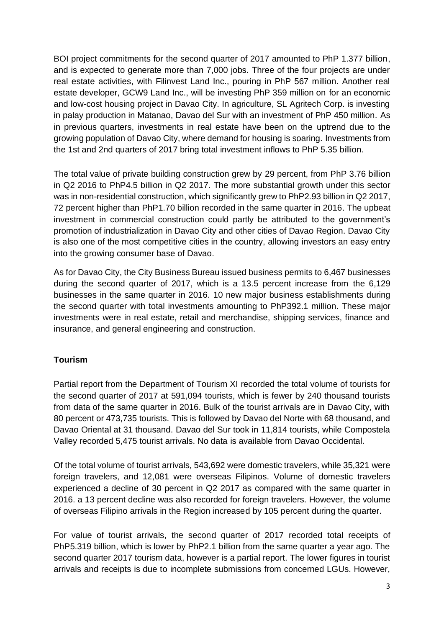BOI project commitments for the second quarter of 2017 amounted to PhP 1.377 billion, and is expected to generate more than 7,000 jobs. Three of the four projects are under real estate activities, with Filinvest Land Inc., pouring in PhP 567 million. Another real estate developer, GCW9 Land Inc., will be investing PhP 359 million on for an economic and low-cost housing project in Davao City. In agriculture, SL Agritech Corp. is investing in palay production in Matanao, Davao del Sur with an investment of PhP 450 million. As in previous quarters, investments in real estate have been on the uptrend due to the growing population of Davao City, where demand for housing is soaring. Investments from the 1st and 2nd quarters of 2017 bring total investment inflows to PhP 5.35 billion.

The total value of private building construction grew by 29 percent, from PhP 3.76 billion in Q2 2016 to PhP4.5 billion in Q2 2017. The more substantial growth under this sector was in non-residential construction, which significantly grew to PhP2.93 billion in Q2 2017, 72 percent higher than PhP1.70 billion recorded in the same quarter in 2016. The upbeat investment in commercial construction could partly be attributed to the government's promotion of industrialization in Davao City and other cities of Davao Region. Davao City is also one of the most competitive cities in the country, allowing investors an easy entry into the growing consumer base of Davao.

As for Davao City, the City Business Bureau issued business permits to 6,467 businesses during the second quarter of 2017, which is a 13.5 percent increase from the 6,129 businesses in the same quarter in 2016. 10 new major business establishments during the second quarter with total investments amounting to PhP392.1 million. These major investments were in real estate, retail and merchandise, shipping services, finance and insurance, and general engineering and construction.

# **Tourism**

Partial report from the Department of Tourism XI recorded the total volume of tourists for the second quarter of 2017 at 591,094 tourists, which is fewer by 240 thousand tourists from data of the same quarter in 2016. Bulk of the tourist arrivals are in Davao City, with 80 percent or 473,735 tourists. This is followed by Davao del Norte with 68 thousand, and Davao Oriental at 31 thousand. Davao del Sur took in 11,814 tourists, while Compostela Valley recorded 5,475 tourist arrivals. No data is available from Davao Occidental.

Of the total volume of tourist arrivals, 543,692 were domestic travelers, while 35,321 were foreign travelers, and 12,081 were overseas Filipinos. Volume of domestic travelers experienced a decline of 30 percent in Q2 2017 as compared with the same quarter in 2016. a 13 percent decline was also recorded for foreign travelers. However, the volume of overseas Filipino arrivals in the Region increased by 105 percent during the quarter.

For value of tourist arrivals, the second quarter of 2017 recorded total receipts of PhP5.319 billion, which is lower by PhP2.1 billion from the same quarter a year ago. The second quarter 2017 tourism data, however is a partial report. The lower figures in tourist arrivals and receipts is due to incomplete submissions from concerned LGUs. However,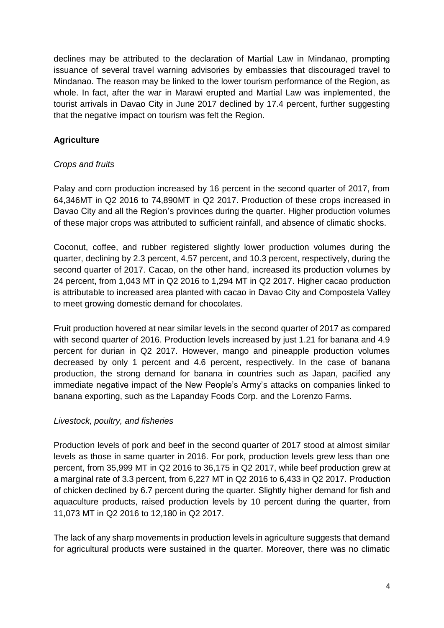declines may be attributed to the declaration of Martial Law in Mindanao, prompting issuance of several travel warning advisories by embassies that discouraged travel to Mindanao. The reason may be linked to the lower tourism performance of the Region, as whole. In fact, after the war in Marawi erupted and Martial Law was implemented, the tourist arrivals in Davao City in June 2017 declined by 17.4 percent, further suggesting that the negative impact on tourism was felt the Region.

# **Agriculture**

## *Crops and fruits*

Palay and corn production increased by 16 percent in the second quarter of 2017, from 64,346MT in Q2 2016 to 74,890MT in Q2 2017. Production of these crops increased in Davao City and all the Region's provinces during the quarter. Higher production volumes of these major crops was attributed to sufficient rainfall, and absence of climatic shocks.

Coconut, coffee, and rubber registered slightly lower production volumes during the quarter, declining by 2.3 percent, 4.57 percent, and 10.3 percent, respectively, during the second quarter of 2017. Cacao, on the other hand, increased its production volumes by 24 percent, from 1,043 MT in Q2 2016 to 1,294 MT in Q2 2017. Higher cacao production is attributable to increased area planted with cacao in Davao City and Compostela Valley to meet growing domestic demand for chocolates.

Fruit production hovered at near similar levels in the second quarter of 2017 as compared with second quarter of 2016. Production levels increased by just 1.21 for banana and 4.9 percent for durian in Q2 2017. However, mango and pineapple production volumes decreased by only 1 percent and 4.6 percent, respectively. In the case of banana production, the strong demand for banana in countries such as Japan, pacified any immediate negative impact of the New People's Army's attacks on companies linked to banana exporting, such as the Lapanday Foods Corp. and the Lorenzo Farms.

#### *Livestock, poultry, and fisheries*

Production levels of pork and beef in the second quarter of 2017 stood at almost similar levels as those in same quarter in 2016. For pork, production levels grew less than one percent, from 35,999 MT in Q2 2016 to 36,175 in Q2 2017, while beef production grew at a marginal rate of 3.3 percent, from 6,227 MT in Q2 2016 to 6,433 in Q2 2017. Production of chicken declined by 6.7 percent during the quarter. Slightly higher demand for fish and aquaculture products, raised production levels by 10 percent during the quarter, from 11,073 MT in Q2 2016 to 12,180 in Q2 2017.

The lack of any sharp movements in production levels in agriculture suggests that demand for agricultural products were sustained in the quarter. Moreover, there was no climatic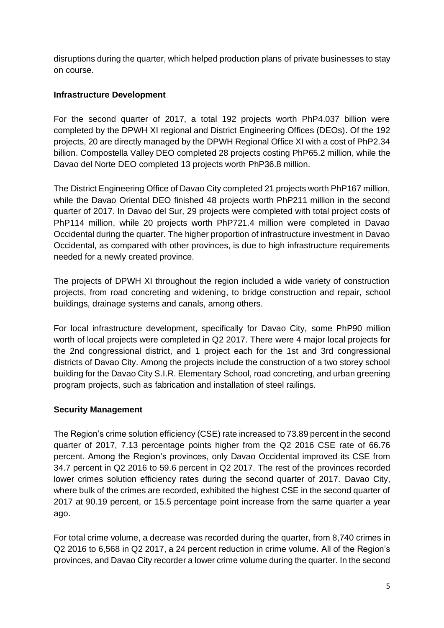disruptions during the quarter, which helped production plans of private businesses to stay on course.

## **Infrastructure Development**

For the second quarter of 2017, a total 192 projects worth PhP4.037 billion were completed by the DPWH XI regional and District Engineering Offices (DEOs). Of the 192 projects, 20 are directly managed by the DPWH Regional Office XI with a cost of PhP2.34 billion. Compostella Valley DEO completed 28 projects costing PhP65.2 million, while the Davao del Norte DEO completed 13 projects worth PhP36.8 million.

The District Engineering Office of Davao City completed 21 projects worth PhP167 million, while the Davao Oriental DEO finished 48 projects worth PhP211 million in the second quarter of 2017. In Davao del Sur, 29 projects were completed with total project costs of PhP114 million, while 20 projects worth PhP721.4 million were completed in Davao Occidental during the quarter. The higher proportion of infrastructure investment in Davao Occidental, as compared with other provinces, is due to high infrastructure requirements needed for a newly created province.

The projects of DPWH XI throughout the region included a wide variety of construction projects, from road concreting and widening, to bridge construction and repair, school buildings, drainage systems and canals, among others.

For local infrastructure development, specifically for Davao City, some PhP90 million worth of local projects were completed in Q2 2017. There were 4 major local projects for the 2nd congressional district, and 1 project each for the 1st and 3rd congressional districts of Davao City. Among the projects include the construction of a two storey school building for the Davao City S.I.R. Elementary School, road concreting, and urban greening program projects, such as fabrication and installation of steel railings.

#### **Security Management**

The Region's crime solution efficiency (CSE) rate increased to 73.89 percent in the second quarter of 2017, 7.13 percentage points higher from the Q2 2016 CSE rate of 66.76 percent. Among the Region's provinces, only Davao Occidental improved its CSE from 34.7 percent in Q2 2016 to 59.6 percent in Q2 2017. The rest of the provinces recorded lower crimes solution efficiency rates during the second quarter of 2017. Davao City, where bulk of the crimes are recorded, exhibited the highest CSE in the second quarter of 2017 at 90.19 percent, or 15.5 percentage point increase from the same quarter a year ago.

For total crime volume, a decrease was recorded during the quarter, from 8,740 crimes in Q2 2016 to 6,568 in Q2 2017, a 24 percent reduction in crime volume. All of the Region's provinces, and Davao City recorder a lower crime volume during the quarter. In the second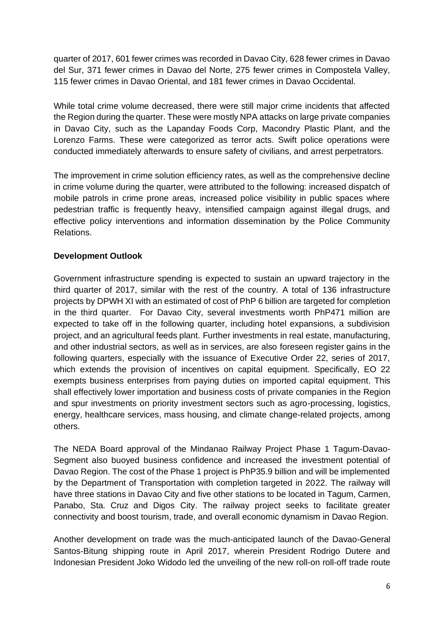quarter of 2017, 601 fewer crimes was recorded in Davao City, 628 fewer crimes in Davao del Sur, 371 fewer crimes in Davao del Norte, 275 fewer crimes in Compostela Valley, 115 fewer crimes in Davao Oriental, and 181 fewer crimes in Davao Occidental.

While total crime volume decreased, there were still major crime incidents that affected the Region during the quarter. These were mostly NPA attacks on large private companies in Davao City, such as the Lapanday Foods Corp, Macondry Plastic Plant, and the Lorenzo Farms. These were categorized as terror acts. Swift police operations were conducted immediately afterwards to ensure safety of civilians, and arrest perpetrators.

The improvement in crime solution efficiency rates, as well as the comprehensive decline in crime volume during the quarter, were attributed to the following: increased dispatch of mobile patrols in crime prone areas, increased police visibility in public spaces where pedestrian traffic is frequently heavy, intensified campaign against illegal drugs, and effective policy interventions and information dissemination by the Police Community Relations.

# **Development Outlook**

Government infrastructure spending is expected to sustain an upward trajectory in the third quarter of 2017, similar with the rest of the country. A total of 136 infrastructure projects by DPWH XI with an estimated of cost of PhP 6 billion are targeted for completion in the third quarter. For Davao City, several investments worth PhP471 million are expected to take off in the following quarter, including hotel expansions, a subdivision project, and an agricultural feeds plant. Further investments in real estate, manufacturing, and other industrial sectors, as well as in services, are also foreseen register gains in the following quarters, especially with the issuance of Executive Order 22, series of 2017, which extends the provision of incentives on capital equipment. Specifically, EO 22 exempts business enterprises from paying duties on imported capital equipment. This shall effectively lower importation and business costs of private companies in the Region and spur investments on priority investment sectors such as agro-processing, logistics, energy, healthcare services, mass housing, and climate change-related projects, among others.

The NEDA Board approval of the Mindanao Railway Project Phase 1 Tagum-Davao-Segment also buoyed business confidence and increased the investment potential of Davao Region. The cost of the Phase 1 project is PhP35.9 billion and will be implemented by the Department of Transportation with completion targeted in 2022. The railway will have three stations in Davao City and five other stations to be located in Tagum, Carmen, Panabo, Sta. Cruz and Digos City. The railway project seeks to facilitate greater connectivity and boost tourism, trade, and overall economic dynamism in Davao Region.

Another development on trade was the much-anticipated launch of the Davao-General Santos-Bitung shipping route in April 2017, wherein President Rodrigo Dutere and Indonesian President Joko Widodo led the unveiling of the new roll-on roll-off trade route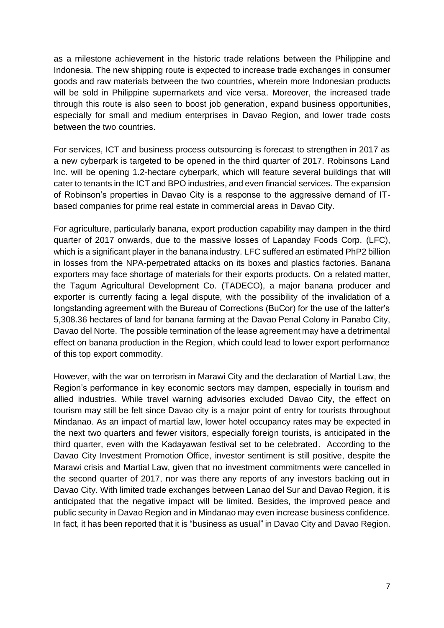as a milestone achievement in the historic trade relations between the Philippine and Indonesia. The new shipping route is expected to increase trade exchanges in consumer goods and raw materials between the two countries, wherein more Indonesian products will be sold in Philippine supermarkets and vice versa. Moreover, the increased trade through this route is also seen to boost job generation, expand business opportunities, especially for small and medium enterprises in Davao Region, and lower trade costs between the two countries.

For services, ICT and business process outsourcing is forecast to strengthen in 2017 as a new cyberpark is targeted to be opened in the third quarter of 2017. Robinsons Land Inc. will be opening 1.2-hectare cyberpark, which will feature several buildings that will cater to tenants in the ICT and BPO industries, and even financial services. The expansion of Robinson's properties in Davao City is a response to the aggressive demand of ITbased companies for prime real estate in commercial areas in Davao City.

For agriculture, particularly banana, export production capability may dampen in the third quarter of 2017 onwards, due to the massive losses of Lapanday Foods Corp. (LFC), which is a significant player in the banana industry. LFC suffered an estimated PhP2 billion in losses from the NPA-perpetrated attacks on its boxes and plastics factories. Banana exporters may face shortage of materials for their exports products. On a related matter, the Tagum Agricultural Development Co. (TADECO), a major banana producer and exporter is currently facing a legal dispute, with the possibility of the invalidation of a longstanding agreement with the Bureau of Corrections (BuCor) for the use of the latter's 5,308.36 hectares of land for banana farming at the Davao Penal Colony in Panabo City, Davao del Norte. The possible termination of the lease agreement may have a detrimental effect on banana production in the Region, which could lead to lower export performance of this top export commodity.

However, with the war on terrorism in Marawi City and the declaration of Martial Law, the Region's performance in key economic sectors may dampen, especially in tourism and allied industries. While travel warning advisories excluded Davao City, the effect on tourism may still be felt since Davao city is a major point of entry for tourists throughout Mindanao. As an impact of martial law, lower hotel occupancy rates may be expected in the next two quarters and fewer visitors, especially foreign tourists, is anticipated in the third quarter, even with the Kadayawan festival set to be celebrated. According to the Davao City Investment Promotion Office, investor sentiment is still positive, despite the Marawi crisis and Martial Law, given that no investment commitments were cancelled in the second quarter of 2017, nor was there any reports of any investors backing out in Davao City. With limited trade exchanges between Lanao del Sur and Davao Region, it is anticipated that the negative impact will be limited. Besides, the improved peace and public security in Davao Region and in Mindanao may even increase business confidence. In fact, it has been reported that it is "business as usual" in Davao City and Davao Region.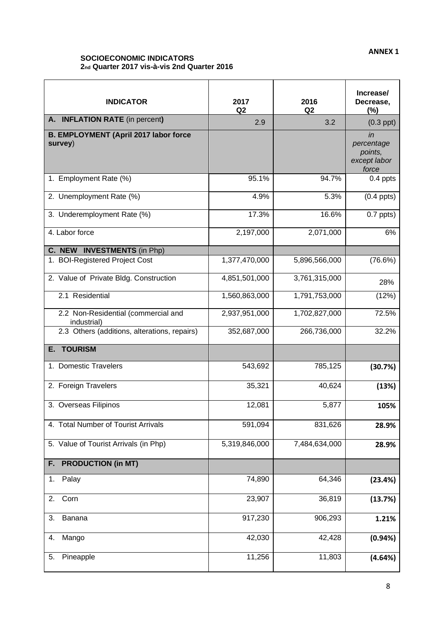#### **SOCIOECONOMIC INDICATORS 2nd Quarter 2017 vis-à-vis 2nd Quarter 2016**

| <b>INDICATOR</b>                                        | 2017<br>Q <sub>2</sub> | 2016<br>Q <sub>2</sub> | Increase/<br>Decrease,<br>$(\%)$                     |
|---------------------------------------------------------|------------------------|------------------------|------------------------------------------------------|
| A. INFLATION RATE (in percent)                          | 2.9                    | 3.2                    | $(0.3$ ppt $)$                                       |
| <b>B. EMPLOYMENT (April 2017 labor force</b><br>survey) |                        |                        | in<br>percentage<br>points,<br>except labor<br>force |
| 1. Employment Rate (%)                                  | 95.1%                  | 94.7%                  | 0.4 ppts                                             |
| 2. Unemployment Rate (%)                                | 4.9%                   | 5.3%                   | $(0.4$ ppts $)$                                      |
| 3. Underemployment Rate (%)                             | 17.3%                  | 16.6%                  | $0.7$ ppts)                                          |
| 4. Labor force                                          | 2,197,000              | 2,071,000              | 6%                                                   |
| C. NEW INVESTMENTS (in Php)                             |                        |                        |                                                      |
| 1. BOI-Registered Project Cost                          | 1,377,470,000          | 5,896,566,000          | (76.6%)                                              |
| 2. Value of Private Bldg. Construction                  | 4,851,501,000          | 3,761,315,000          | 28%                                                  |
| 2.1 Residential                                         | 1,560,863,000          | 1,791,753,000          | (12%)                                                |
| 2.2 Non-Residential (commercial and<br>industrial)      | 2,937,951,000          | 1,702,827,000          | 72.5%                                                |
| 2.3 Others (additions, alterations, repairs)            | 352,687,000            | 266,736,000            | 32.2%                                                |
| <b>E. TOURISM</b>                                       |                        |                        |                                                      |
| 1. Domestic Travelers                                   | 543,692                | 785,125                | (30.7%)                                              |
| 2. Foreign Travelers                                    | 35,321                 | 40,624                 | (13%)                                                |
| 3. Overseas Filipinos                                   | 12,081                 | 5,877                  | 105%                                                 |
| 4. Total Number of Tourist Arrivals                     | 591,094                | 831,626                | 28.9%                                                |
| 5. Value of Tourist Arrivals (in Php)                   | 5,319,846,000          | 7,484,634,000          | 28.9%                                                |
| <b>PRODUCTION (in MT)</b><br>F.                         |                        |                        |                                                      |
| Palay<br>1.                                             | 74,890                 | 64,346                 | (23.4%)                                              |
| Corn<br>2.                                              | 23,907                 | 36,819                 | (13.7%)                                              |
| Banana<br>3.                                            | 917,230                | 906,293                | 1.21%                                                |
| Mango<br>4.                                             | 42,030                 | 42,428                 | (0.94%)                                              |
| Pineapple<br>5.                                         | 11,256                 | 11,803                 | (4.64%)                                              |